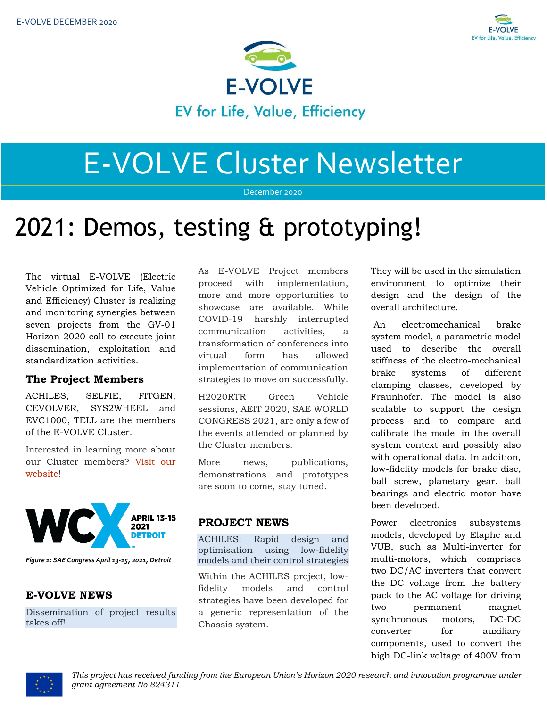



# E-VOLVE Cluster Newsletter

December 2020

# 2021: Demos, testing & prototyping!

The virtual E-VOLVE (Electric Vehicle Optimized for Life, Value and Efficiency) Cluster is realizing and monitoring synergies between seven projects from the GV-01 Horizon 2020 call to execute joint dissemination, exploitation and standardization activities.

# **The Project Members**

ACHILES, SELFIE, FITGEN, CEVOLVER, SYS2WHEEL and EVC1000, TELL are the members of the E-VOLVE Cluster.

Interested in learning more about our Cluster members? [Visit our](https://www.h2020-evolvecluster.eu/project-members)  [website!](https://www.h2020-evolvecluster.eu/project-members)



*Figure 1: SAE Congress April 13-15, 2021, Detroit*

# **E-VOLVE NEWS**

Dissemination of project results takes off!

As E-VOLVE Project members proceed with implementation, more and more opportunities to showcase are available. While COVID-19 harshly interrupted communication activities, a transformation of conferences into virtual form has allowed implementation of communication strategies to move on successfully.

H2020RTR Green Vehicle sessions, AEIT 2020, SAE WORLD CONGRESS 2021, are only a few of the events attended or planned by the Cluster members.

More news, publications, demonstrations and prototypes are soon to come, stay tuned.

# **PROJECT NEWS**

ACHILES: Rapid design and optimisation using low-fidelity models and their control strategies

Within the ACHILES project, lowfidelity models and control strategies have been developed for a generic representation of the Chassis system.

They will be used in the simulation environment to optimize their design and the design of the overall architecture.

An electromechanical brake system model, a parametric model used to describe the overall stiffness of the electro-mechanical brake systems of different clamping classes, developed by Fraunhofer. The model is also scalable to support the design process and to compare and calibrate the model in the overall system context and possibly also with operational data. In addition, low-fidelity models for brake disc, ball screw, planetary gear, ball bearings and electric motor have been developed.

Power electronics subsystems models, developed by Elaphe and VUB, such as Multi-inverter for multi-motors, which comprises two DC/AC inverters that convert the DC voltage from the battery pack to the AC voltage for driving two permanent magnet synchronous motors, DC-DC converter for auxiliary components, used to convert the high DC-link voltage of 400V from

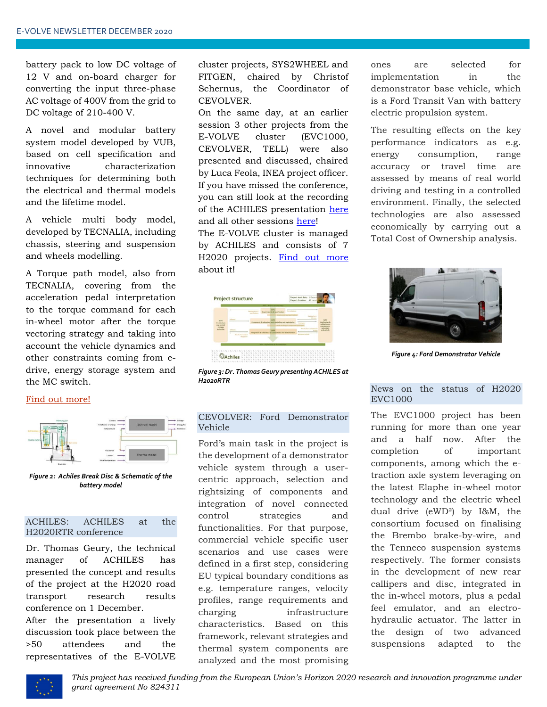battery pack to low DC voltage of 12 V and on-board charger for converting the input three-phase AC voltage of 400V from the grid to DC voltage of 210-400 V.

A novel and modular battery system model developed by VUB, based on cell specification and innovative characterization techniques for determining both the electrical and thermal models and the lifetime model.

A vehicle multi body model, developed by TECNALIA, including chassis, steering and suspension and wheels modelling.

A Torque path model, also from TECNALIA, covering from the acceleration pedal interpretation to the torque command for each in-wheel motor after the torque vectoring strategy and taking into account the vehicle dynamics and other constraints coming from edrive, energy storage system and the MC switch.

#### Find out [more!](https://www.h2020-achiles.eu/)



*Figure 2: Achiles Break Disc & Schematic of the battery model*

## ACHILES: ACHILES at the H2020RTR conference

Dr. Thomas Geury, the technical manager of ACHILES has presented the concept and results of the project at the H2020 road transport research results conference on 1 December.

After the presentation a lively discussion took place between the >50 attendees and the representatives of the E-VOLVE cluster projects, SYS2WHEEL and FITGEN, chaired by Christof Schernus, the Coordinator of CEVOLVER.

On the same day, at an earlier session 3 other projects from the E-VOLVE cluster (EVC1000, CEVOLVER, TELL) were also presented and discussed, chaired by Luca Feola, INEA project officer. If you have missed the conference, you can still look at the recording of the ACHILES presentation [here](https://www.youtube.com/playlist?list=PLHwqR7IAF54H4mEBK04-hh0arR2Hp4oe_) and all other sessions [here!](https://egvi.eu/mediaroom/h2020rtr20-replays-are-now-available/?utm_source=Newsletter+EGVIA+2018&utm_campaign=c18542f803-EMAIL_CAMPAIGN_12_10_2020_H2020RTR_replays&utm_medium=email&utm_term=0_cf3e363d8b-c18542f803-148869117)

The E-VOLVE cluster is managed by ACHILES and consists of 7 H2020 projects. [Find out more](https://www.h2020-evolvecluster.eu/) about it!



*Figure 3: Dr. Thomas Geury presenting ACHILES at H2020RTR*

## CEVOLVER: Ford Demonstrator Vehicle

Ford's main task in the project is the development of a demonstrator vehicle system through a usercentric approach, selection and rightsizing of components and integration of novel connected control strategies and functionalities. For that purpose, commercial vehicle specific user scenarios and use cases were defined in a first step, considering EU typical boundary conditions as e.g. temperature ranges, velocity profiles, range requirements and charging infrastructure characteristics. Based on this framework, relevant strategies and thermal system components are analyzed and the most promising ones are selected for implementation in the demonstrator base vehicle, which is a Ford Transit Van with battery electric propulsion system.

The resulting effects on the key performance indicators as e.g. energy consumption, range accuracy or travel time are assessed by means of real world driving and testing in a controlled environment. Finally, the selected technologies are also assessed economically by carrying out a Total Cost of Ownership analysis.



*Figure 4: Ford Demonstrator Vehicle*

## News on the status of H2020 EVC1000

The EVC1000 project has been running for more than one year and a half now. After the completion of important components, among which the etraction axle system leveraging on the latest Elaphe in-wheel motor technology and the electric wheel dual drive (eWD²) by I&M, the consortium focused on finalising the Brembo brake-by-wire, and the Tenneco suspension systems respectively. The former consists in the development of new rear callipers and disc, integrated in the in-wheel motors, plus a pedal feel emulator, and an electrohydraulic actuator. The latter in the design of two advanced suspensions adapted to the

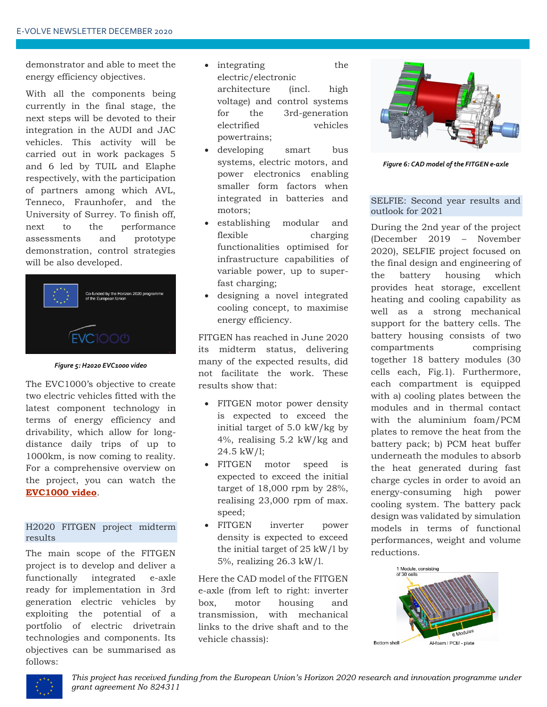demonstrator and able to meet the energy efficiency objectives.

With all the components being currently in the final stage, the next steps will be devoted to their integration in the AUDI and JAC vehicles. This activity will be carried out in work packages 5 and 6 led by TUIL and Elaphe respectively, with the participation of partners among which AVL, Tenneco, Fraunhofer, and the University of Surrey. To finish off, next to the performance assessments and prototype demonstration, control strategies will be also developed.



*Figure 5: H2020 EVC1000 video*

The EVC1000's objective to create two electric vehicles fitted with the latest component technology in terms of energy efficiency and drivability, which allow for longdistance daily trips of up to 1000km, is now coming to reality. For a comprehensive overview on the project, you can watch the **[EVC1000 video](https://www.youtube.com/watch?app=desktop&v=9tJU3BxXp_c)**.

## H2020 FITGEN project midterm results

The main scope of the FITGEN project is to develop and deliver a functionally integrated e-axle ready for implementation in 3rd generation electric vehicles by exploiting the potential of a portfolio of electric drivetrain technologies and components. Its objectives can be summarised as follows:

- integrating the electric/electronic architecture (incl. high voltage) and control systems for the 3rd-generation electrified vehicles powertrains;
- developing smart bus systems, electric motors, and power electronics enabling smaller form factors when integrated in batteries and motors;
- establishing modular and flexible charging functionalities optimised for infrastructure capabilities of variable power, up to superfast charging;
- designing a novel integrated cooling concept, to maximise energy efficiency.

FITGEN has reached in June 2020 its midterm status, delivering many of the expected results, did not facilitate the work. These results show that:

- FITGEN motor power density is expected to exceed the initial target of 5.0 kW/kg by 4%, realising 5.2 kW/kg and 24.5 kW/l;
- FITGEN motor speed is expected to exceed the initial target of 18,000 rpm by 28%, realising 23,000 rpm of max. speed;
- FITGEN inverter power density is expected to exceed the initial target of 25 kW/l by 5%, realizing 26.3 kW/l.

Here the CAD model of the FITGEN e-axle (from left to right: inverter box, motor housing and transmission, with mechanical links to the drive shaft and to the vehicle chassis):



*Figure 6: CAD model of the FITGEN e-axle*

## SELFIE: Second year results and outlook for 2021

During the 2nd year of the project (December 2019 – November 2020), SELFIE project focused on the final design and engineering of the battery housing which provides heat storage, excellent heating and cooling capability as well as a strong mechanical support for the battery cells. The battery housing consists of two compartments comprising together 18 battery modules (30 cells each, Fig.1). Furthermore, each compartment is equipped with a) cooling plates between the modules and in thermal contact with the aluminium foam/PCM plates to remove the heat from the battery pack; b) PCM heat buffer underneath the modules to absorb the heat generated during fast charge cycles in order to avoid an energy-consuming high power cooling system. The battery pack design was validated by simulation models in terms of functional performances, weight and volume reductions.



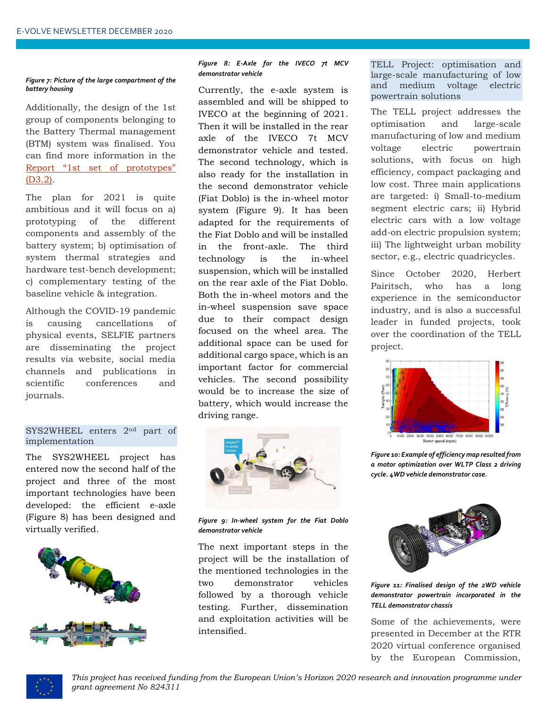#### *Figure 7: Picture of the large compartment of the battery housing*

Additionally, the design of the 1st group of components belonging to the Battery Thermal management (BTM) system was finalised. You can find more information in the [Report "1st set of prototypes"](https://eu-project-selfie.eu/wp-content/uploads/2020/10/SELFIE_D2.3_1st-set-of-prototypes_v2.pdf)  [\(D3.2\).](https://eu-project-selfie.eu/wp-content/uploads/2020/10/SELFIE_D2.3_1st-set-of-prototypes_v2.pdf)

The plan for 2021 is quite ambitious and it will focus on a) prototyping of the different components and assembly of the battery system; b) optimisation of system thermal strategies and hardware test-bench development; c) complementary testing of the baseline vehicle & integration.

Although the COVID-19 pandemic is causing cancellations of physical events, SELFIE partners are disseminating the project results via website, social media channels and publications in scientific conferences and journals.

### SYS2WHEEL enters 2nd part of implementation

The SYS2WHEEL project has entered now the second half of the project and three of the most important technologies have been developed: the efficient e-axle (Figure 8) has been designed and virtually verified.



#### *Figure 8: E-Axle for the IVECO 7t MCV demonstrator vehicle*

Currently, the e-axle system is assembled and will be shipped to IVECO at the beginning of 2021. Then it will be installed in the rear axle of the IVECO 7t MCV demonstrator vehicle and tested. The second technology, which is also ready for the installation in the second demonstrator vehicle (Fiat Doblo) is the in-wheel motor system (Figure 9). It has been adapted for the requirements of the Fiat Doblo and will be installed in the front-axle. The third technology is the in-wheel suspension, which will be installed on the rear axle of the Fiat Doblo. Both the in-wheel motors and the in-wheel suspension save space due to their compact design focused on the wheel area. The additional space can be used for additional cargo space, which is an important factor for commercial vehicles. The second possibility would be to increase the size of battery, which would increase the driving range.



*Figure 9: In-wheel system for the Fiat Doblo demonstrator vehicle*

The next important steps in the project will be the installation of the mentioned technologies in the two demonstrator vehicles followed by a thorough vehicle testing. Further, dissemination and exploitation activities will be intensified.

TELL Project: optimisation and large-scale manufacturing of low and medium voltage electric powertrain solutions

The TELL project addresses the optimisation and large-scale manufacturing of low and medium voltage electric powertrain solutions, with focus on high efficiency, compact packaging and low cost. Three main applications are targeted: i) Small-to-medium segment electric cars; ii) Hybrid electric cars with a low voltage add-on electric propulsion system; iii) The lightweight urban mobility sector, e.g., electric quadricycles.

Since October 2020, Herbert Pairitsch, who has a long experience in the semiconductor industry, and is also a successful leader in funded projects, took over the coordination of the TELL project.



*Figure 10: Example of efficiency map resulted from a motor optimization over WLTP Class 2 driving cycle. 4WD vehicle demonstrator case.*



*Figure 11: Finalised design of the 2WD vehicle demonstrator powertrain incorporated in the TELL demonstrator chassis*

Some of the achievements, were presented in December at the RTR 2020 virtual conference organised by the European Commission,